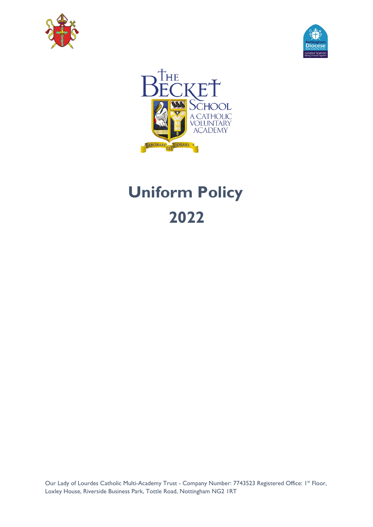





# **Uniform Policy 2022**

Our Lady of Lourdes Catholic Multi-Academy Trust - Company Number: 7743523 Registered Office: 1st Floor, Loxley House, Riverside Business Park, Tottle Road, Nottingham NG2 1RT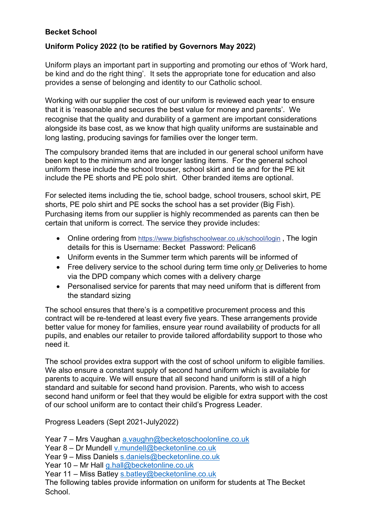### **Becket School**

#### **Uniform Policy 2022 (to be ratified by Governors May 2022)**

Uniform plays an important part in supporting and promoting our ethos of 'Work hard, be kind and do the right thing'. It sets the appropriate tone for education and also provides a sense of belonging and identity to our Catholic school.

Working with our supplier the cost of our uniform is reviewed each year to ensure that it is 'reasonable and secures the best value for money and parents'. We recognise that the quality and durability of a garment are important considerations alongside its base cost, as we know that high quality uniforms are sustainable and long lasting, producing savings for families over the longer term.

The compulsory branded items that are included in our general school uniform have been kept to the minimum and are longer lasting items. For the general school uniform these include the school trouser, school skirt and tie and for the PE kit include the PE shorts and PE polo shirt. Other branded items are optional.

For selected items including the tie, school badge, school trousers, school skirt, PE shorts, PE polo shirt and PE socks the school has a set provider (Big Fish). Purchasing items from our supplier is highly recommended as parents can then be certain that uniform is correct. The service they provide includes:

- Online ordering from<https://www.bigfishschoolwear.co.uk/school/login>, The login details for this is Username: Becket Password: Pelican6
- Uniform events in the Summer term which parents will be informed of
- Free delivery service to the school during term time only or Deliveries to home via the DPD company which comes with a delivery charge
- Personalised service for parents that may need uniform that is different from the standard sizing

The school ensures that there's is a competitive procurement process and this contract will be re-tendered at least every five years. These arrangements provide better value for money for families, ensure year round availability of products for all pupils, and enables our retailer to provide tailored affordability support to those who need it.

The school provides extra support with the cost of school uniform to eligible families. We also ensure a constant supply of second hand uniform which is available for parents to acquire. We will ensure that all second hand uniform is still of a high standard and suitable for second hand provision. Parents, who wish to access second hand uniform or feel that they would be eligible for extra support with the cost of our school uniform are to contact their child's Progress Leader.

Progress Leaders (Sept 2021-July2022)

- Year 7 Mrs Vaughan [a.vaughn@becketoschoolonline.co.uk](mailto:a.vaughn@becketoschoolonline.co.uk)
- Year 8 Dr Mundell [v.mundell@becketonline.co.uk](mailto:v.mundell@becketonline.co.uk)
- Year 9 Miss Daniels [s.daniels@becketonline.co.uk](mailto:s.daniels@becketonline.co.uk)
- Year 10 Mr Hall [g.hall@becketonline.co.uk](mailto:g.hall@becketonline.co.uk)
- Year 11 Miss Batley [s.batley@becketonline.co.uk](mailto:s.batley@becketonline.co.uk)

The following tables provide information on uniform for students at The Becket School.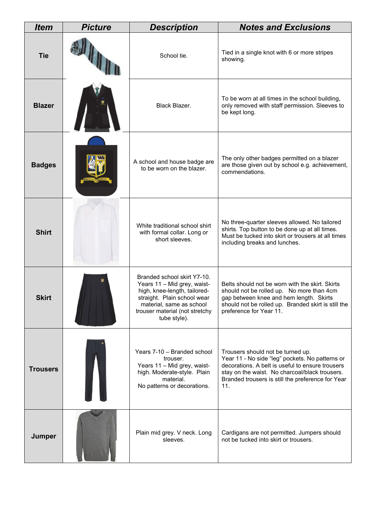| <b>Item</b>     | <b>Picture</b> | <b>Description</b>                                                                                                                                                                                      | <b>Notes and Exclusions</b>                                                                                                                                                                                                                            |
|-----------------|----------------|---------------------------------------------------------------------------------------------------------------------------------------------------------------------------------------------------------|--------------------------------------------------------------------------------------------------------------------------------------------------------------------------------------------------------------------------------------------------------|
| <b>Tie</b>      |                | School tie.                                                                                                                                                                                             | Tied in a single knot with 6 or more stripes<br>showing.                                                                                                                                                                                               |
| <b>Blazer</b>   |                | Black Blazer.                                                                                                                                                                                           | To be worn at all times in the school building,<br>only removed with staff permission. Sleeves to<br>be kept long.                                                                                                                                     |
| <b>Badges</b>   |                | A school and house badge are<br>to be worn on the blazer.                                                                                                                                               | The only other badges permitted on a blazer<br>are those given out by school e.g. achievement,<br>commendations.                                                                                                                                       |
| <b>Shirt</b>    |                | White traditional school shirt<br>with formal collar. Long or<br>short sleeves.                                                                                                                         | No three-quarter sleeves allowed. No tailored<br>shirts. Top button to be done up at all times.<br>Must be tucked into skirt or trousers at all times<br>including breaks and lunches.                                                                 |
| <b>Skirt</b>    |                | Branded school skirt Y7-10.<br>Years 11 - Mid grey, waist-<br>high, knee-length, tailored-<br>straight. Plain school wear<br>material, same as school<br>trouser material (not stretchy<br>tube style). | Belts should not be worn with the skirt. Skirts<br>should not be rolled up. No more than 4cm<br>gap between knee and hem length. Skirts<br>should not be rolled up. Branded skirt is still the<br>preference for Year 11.                              |
| <b>Trousers</b> |                | Years 7-10 - Branded school<br>trouser.<br>Years 11 - Mid grey, waist-<br>high. Moderate-style. Plain<br>material.<br>No patterns or decorations.                                                       | Trousers should not be turned up.<br>Year 11 - No side "leg" pockets. No patterns or<br>decorations. A belt is useful to ensure trousers<br>stay on the waist. No charcoal/black trousers.<br>Branded trousers is still the preference for Year<br>11. |
| Jumper          |                | Plain mid grey. V neck. Long<br>sleeves.                                                                                                                                                                | Cardigans are not permitted. Jumpers should<br>not be tucked into skirt or trousers.                                                                                                                                                                   |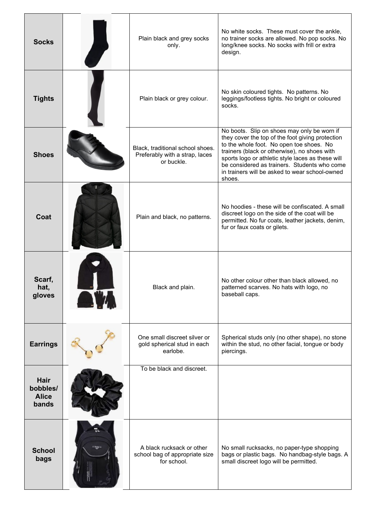| <b>Socks</b>                              | Plain black and grey socks<br>only.                                              | No white socks. These must cover the ankle,<br>no trainer socks are allowed. No pop socks. No<br>long/knee socks. No socks with frill or extra<br>design.                                                                                                                                                                                                    |
|-------------------------------------------|----------------------------------------------------------------------------------|--------------------------------------------------------------------------------------------------------------------------------------------------------------------------------------------------------------------------------------------------------------------------------------------------------------------------------------------------------------|
| <b>Tights</b>                             | Plain black or grey colour.                                                      | No skin coloured tights. No patterns. No<br>leggings/footless tights. No bright or coloured<br>socks.                                                                                                                                                                                                                                                        |
| <b>Shoes</b>                              | Black, traditional school shoes.<br>Preferably with a strap, laces<br>or buckle. | No boots. Slip on shoes may only be worn if<br>they cover the top of the foot giving protection<br>to the whole foot. No open toe shoes. No<br>trainers (black or otherwise), no shoes with<br>sports logo or athletic style laces as these will<br>be considered as trainers. Students who come<br>in trainers will be asked to wear school-owned<br>shoes. |
| Coat                                      | Plain and black, no patterns.                                                    | No hoodies - these will be confiscated. A small<br>discreet logo on the side of the coat will be<br>permitted. No fur coats, leather jackets, denim,<br>fur or faux coats or gilets.                                                                                                                                                                         |
| Scarf,<br>hat,<br>gloves                  | Black and plain.                                                                 | No other colour other than black allowed, no<br>patterned scarves. No hats with logo, no<br>baseball caps.                                                                                                                                                                                                                                                   |
| <b>Earrings</b>                           | One small discreet silver or<br>gold spherical stud in each<br>earlobe.          | Spherical studs only (no other shape), no stone<br>within the stud, no other facial, tongue or body<br>piercings.                                                                                                                                                                                                                                            |
| Hair<br>bobbles/<br><b>Alice</b><br>bands | To be black and discreet.                                                        |                                                                                                                                                                                                                                                                                                                                                              |
| <b>School</b><br>bags                     | A black rucksack or other<br>school bag of appropriate size<br>for school.       | No small rucksacks, no paper-type shopping<br>bags or plastic bags. No handbag-style bags. A<br>small discreet logo will be permitted.                                                                                                                                                                                                                       |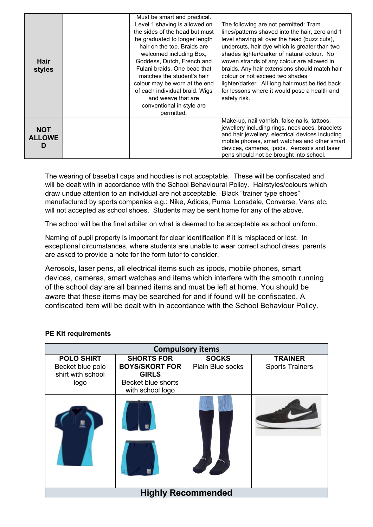| <b>Hair</b><br>styles            | Must be smart and practical.<br>Level 1 shaving is allowed on<br>the sides of the head but must<br>be graduated to longer length<br>hair on the top. Braids are<br>welcomed including Box,<br>Goddess, Dutch, French and<br>Fulani braids. One bead that<br>matches the student's hair<br>colour may be worn at the end<br>of each individual braid. Wigs<br>and weave that are<br>conventional in style are<br>permitted. | The following are not permitted: Tram<br>lines/patterns shaved into the hair, zero and 1<br>level shaving all over the head (buzz cuts),<br>undercuts, hair dye which is greater than two<br>shades lighter/darker of natural colour. No<br>woven strands of any colour are allowed in<br>braids. Any hair extensions should match hair<br>colour or not exceed two shades<br>lighter/darker. All long hair must be tied back<br>for lessons where it would pose a health and<br>safety risk. |
|----------------------------------|----------------------------------------------------------------------------------------------------------------------------------------------------------------------------------------------------------------------------------------------------------------------------------------------------------------------------------------------------------------------------------------------------------------------------|-----------------------------------------------------------------------------------------------------------------------------------------------------------------------------------------------------------------------------------------------------------------------------------------------------------------------------------------------------------------------------------------------------------------------------------------------------------------------------------------------|
| <b>NOT</b><br><b>ALLOWE</b><br>D |                                                                                                                                                                                                                                                                                                                                                                                                                            | Make-up, nail varnish, false nails, tattoos,<br>jewellery including rings, necklaces, bracelets<br>and hair jewellery, electrical devices including<br>mobile phones, smart watches and other smart<br>devices, cameras, ipods. Aerosols and laser<br>pens should not be brought into school.                                                                                                                                                                                                 |

The wearing of baseball caps and hoodies is not acceptable. These will be confiscated and will be dealt with in accordance with the School Behavioural Policy. Hairstyles/colours which draw undue attention to an individual are not acceptable. Black "trainer type shoes" manufactured by sports companies e.g.: Nike, Adidas, Puma, Lonsdale, Converse, Vans etc. will not accepted as school shoes. Students may be sent home for any of the above.

The school will be the final arbiter on what is deemed to be acceptable as school uniform.

Naming of pupil property is important for clear identification if it is misplaced or lost. In exceptional circumstances, where students are unable to wear correct school dress, parents are asked to provide a note for the form tutor to consider.

Aerosols, laser pens, all electrical items such as ipods, mobile phones, smart devices, cameras, smart watches and items which interfere with the smooth running of the school day are all banned items and must be left at home. You should be aware that these items may be searched for and if found will be confiscated. A confiscated item will be dealt with in accordance with the School Behaviour Policy.

#### **PE Kit requirements**

| <b>Compulsory items</b>                                            |                                                                                                             |                                  |                                          |  |  |  |  |
|--------------------------------------------------------------------|-------------------------------------------------------------------------------------------------------------|----------------------------------|------------------------------------------|--|--|--|--|
| <b>POLO SHIRT</b><br>Becket blue polo<br>shirt with school<br>logo | <b>SHORTS FOR</b><br><b>BOYS/SKORT FOR</b><br><b>GIRLS</b><br><b>Becket blue shorts</b><br>with school logo | <b>SOCKS</b><br>Plain Blue socks | <b>TRAINER</b><br><b>Sports Trainers</b> |  |  |  |  |
|                                                                    |                                                                                                             |                                  |                                          |  |  |  |  |
| <b>Highly Recommended</b>                                          |                                                                                                             |                                  |                                          |  |  |  |  |